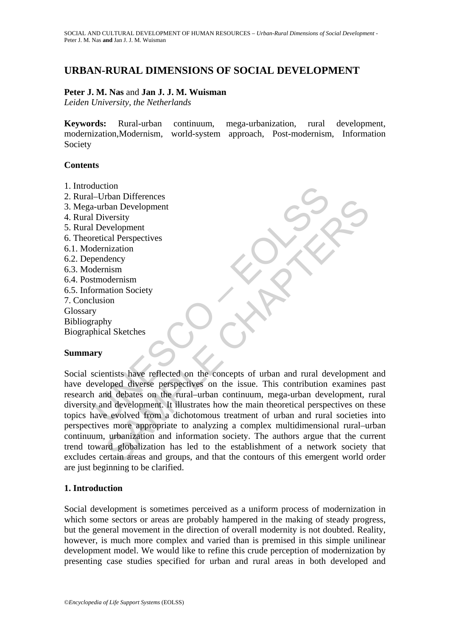# **URBAN-RURAL DIMENSIONS OF SOCIAL DEVELOPMENT**

### **Peter J. M. Nas** and **Jan J. J. M. Wuisman**

*Leiden University, the Netherlands* 

**Keywords:** Rural-urban continuum, mega-urbanization, rural development, modernization,Modernism, world-system approach, Post-modernism, Information Society

### **Contents**

- 1. Introduction
- 2. Rural–Urban Differences
- 3. Mega-urban Development
- 4. Rural Diversity
- 5. Rural Development
- 6. Theoretical Perspectives
- 6.1. Modernization
- 6.2. Dependency
- 6.3. Modernism
- 6.4. Postmodernism
- 6.5. Information Society
- 7. Conclusion
- **Glossary**

Bibliography

Biographical Sketches

### **Summary**

duction<br>
-urban Differences<br>
-urban Development<br>
I Diversity<br>
I Development<br>
retical Perspectives<br>
dernization<br>
dernization<br>
were<br>
dernism<br>
tunodernism<br>
tunodernism<br>
were dernization<br>
y<br>
scientists have reflected on the co For the experiment<br>than Development<br>wersity<br>verdopment<br>mism<br>mism<br>and Perspectives<br>in a Society<br>in dency<br>and Society<br>in a Society<br>of the concepts of urban and rural development<br>toped diverse perspectives on the issue. This Social scientists have reflected on the concepts of urban and rural development and have developed diverse perspectives on the issue. This contribution examines past research and debates on the rural–urban continuum, mega-urban development, rural diversity and development. It illustrates how the main theoretical perspectives on these topics have evolved from a dichotomous treatment of urban and rural societies into perspectives more appropriate to analyzing a complex multidimensional rural–urban continuum, urbanization and information society. The authors argue that the current trend toward globalization has led to the establishment of a network society that excludes certain areas and groups, and that the contours of this emergent world order are just beginning to be clarified.

# **1. Introduction**

Social development is sometimes perceived as a uniform process of modernization in which some sectors or areas are probably hampered in the making of steady progress, but the general movement in the direction of overall modernity is not doubted. Reality, however, is much more complex and varied than is premised in this simple unilinear development model. We would like to refine this crude perception of modernization by presenting case studies specified for urban and rural areas in both developed and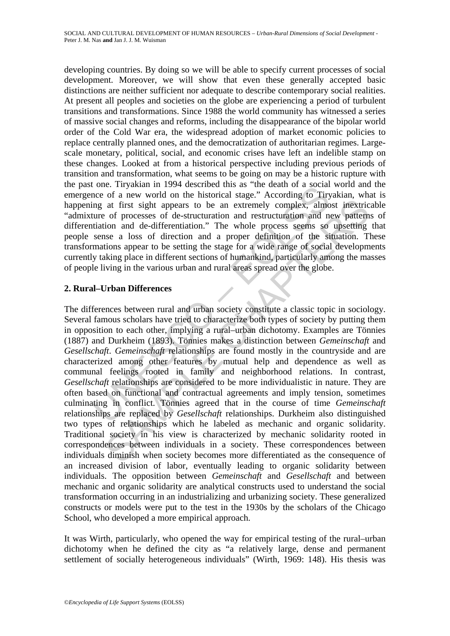developing countries. By doing so we will be able to specify current processes of social development. Moreover, we will show that even these generally accepted basic distinctions are neither sufficient nor adequate to describe contemporary social realities. At present all peoples and societies on the globe are experiencing a period of turbulent transitions and transformations. Since 1988 the world community has witnessed a series of massive social changes and reforms, including the disappearance of the bipolar world order of the Cold War era, the widespread adoption of market economic policies to replace centrally planned ones, and the democratization of authoritarian regimes. Largescale monetary, political, social, and economic crises have left an indelible stamp on these changes. Looked at from a historical perspective including previous periods of transition and transformation, what seems to be going on may be a historic rupture with the past one. Tiryakian in 1994 described this as "the death of a social world and the emergence of a new world on the historical stage." According to Tiryakian, what is happening at first sight appears to be an extremely complex, almost inextricable "admixture of processes of de-structuration and restructuration and new patterns of differentiation and de-differentiation." The whole process seems so upsetting that people sense a loss of direction and a proper definition of the situation. These transformations appear to be setting the stage for a wide range of social developments currently taking place in different sections of humankind, particularly among the masses of people living in the various urban and rural areas spread over the globe.

## **2. Rural–Urban Differences**

once. In yakiam in 1794 described uns as the deal of a social or a society and one of a new world on the historical stage." According to Tiry and the mixtosical stage." According to Tiry and the structuration and nestruct at first sight appears to be an extremely complex, almost inextrice<br>of processes of de-structuration and restructuration and new pattern<br>ion and de-differentiation." The whole process scens so upsetting<br>use a loss of dire The differences between rural and urban society constitute a classic topic in sociology. Several famous scholars have tried to characterize both types of society by putting them in opposition to each other, implying a rural–urban dichotomy. Examples are Tönnies (1887) and Durkheim (1893). Tönnies makes a distinction between *Gemeinschaft* and *Gesellschaft*. *Gemeinschaft* relationships are found mostly in the countryside and are characterized among other features by mutual help and dependence as well as communal feelings rooted in family and neighborhood relations. In contrast, *Gesellschaft* relationships are considered to be more individualistic in nature. They are often based on functional and contractual agreements and imply tension, sometimes culminating in conflict. Tönnies agreed that in the course of time *Gemeinschaft* relationships are replaced by *Gesellschaft* relationships. Durkheim also distinguished two types of relationships which he labeled as mechanic and organic solidarity. Traditional society in his view is characterized by mechanic solidarity rooted in correspondences between individuals in a society. These correspondences between individuals diminish when society becomes more differentiated as the consequence of an increased division of labor, eventually leading to organic solidarity between individuals. The opposition between *Gemeinschaft* and *Gesellschaft* and between mechanic and organic solidarity are analytical constructs used to understand the social transformation occurring in an industrializing and urbanizing society. These generalized constructs or models were put to the test in the 1930s by the scholars of the Chicago School, who developed a more empirical approach.

It was Wirth, particularly, who opened the way for empirical testing of the rural–urban dichotomy when he defined the city as "a relatively large, dense and permanent settlement of socially heterogeneous individuals" (Wirth, 1969: 148). His thesis was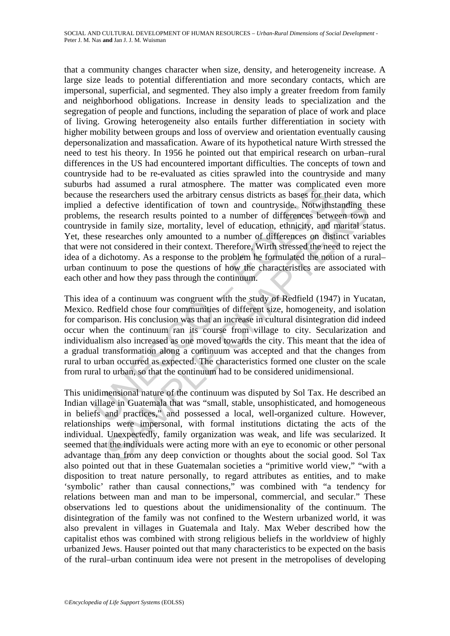nata assumed a runar ammosphere. The matter was completated at the researchers used the abilitary census districts as bases for the assession and defective identification of town and countryside. Notwith as, the research r defective identification of town and countryside. Notwithstanding the research results pointed to a number of differences between town in family size, mortality level of education, ethnicity, and marind star researches onl that a community changes character when size, density, and heterogeneity increase. A large size leads to potential differentiation and more secondary contacts, which are impersonal, superficial, and segmented. They also imply a greater freedom from family and neighborhood obligations. Increase in density leads to specialization and the segregation of people and functions, including the separation of place of work and place of living. Growing heterogeneity also entails further differentiation in society with higher mobility between groups and loss of overview and orientation eventually causing depersonalization and massafication. Aware of its hypothetical nature Wirth stressed the need to test his theory. In 1956 he pointed out that empirical research on urban–rural differences in the US had encountered important difficulties. The concepts of town and countryside had to be re-evaluated as cities sprawled into the countryside and many suburbs had assumed a rural atmosphere. The matter was complicated even more because the researchers used the arbitrary census districts as bases for their data, which implied a defective identification of town and countryside. Notwithstanding these problems, the research results pointed to a number of differences between town and countryside in family size, mortality, level of education, ethnicity, and marital status. Yet, these researches only amounted to a number of differences on distinct variables that were not considered in their context. Therefore, Wirth stressed the need to reject the idea of a dichotomy. As a response to the problem he formulated the notion of a rural– urban continuum to pose the questions of how the characteristics are associated with each other and how they pass through the continuum.

This idea of a continuum was congruent with the study of Redfield (1947) in Yucatan, Mexico. Redfield chose four communities of different size, homogeneity, and isolation for comparison. His conclusion was that an increase in cultural disintegration did indeed occur when the continuum ran its course from village to city. Secularization and individualism also increased as one moved towards the city. This meant that the idea of a gradual transformation along a continuum was accepted and that the changes from rural to urban occurred as expected. The characteristics formed one cluster on the scale from rural to urban, so that the continuum had to be considered unidimensional.

This unidimensional nature of the continuum was disputed by Sol Tax. He described an Indian village in Guatemala that was "small, stable, unsophisticated, and homogeneous in beliefs and practices," and possessed a local, well-organized culture. However, relationships were impersonal, with formal institutions dictating the acts of the individual. Unexpectedly, family organization was weak, and life was secularized. It seemed that the individuals were acting more with an eye to economic or other personal advantage than from any deep conviction or thoughts about the social good. Sol Tax also pointed out that in these Guatemalan societies a "primitive world view," "with a disposition to treat nature personally, to regard attributes as entities, and to make 'symbolic' rather than causal connections," was combined with "a tendency for relations between man and man to be impersonal, commercial, and secular." These observations led to questions about the unidimensionality of the continuum. The disintegration of the family was not confined to the Western urbanized world, it was also prevalent in villages in Guatemala and Italy. Max Weber described how the capitalist ethos was combined with strong religious beliefs in the worldview of highly urbanized Jews. Hauser pointed out that many characteristics to be expected on the basis of the rural–urban continuum idea were not present in the metropolises of developing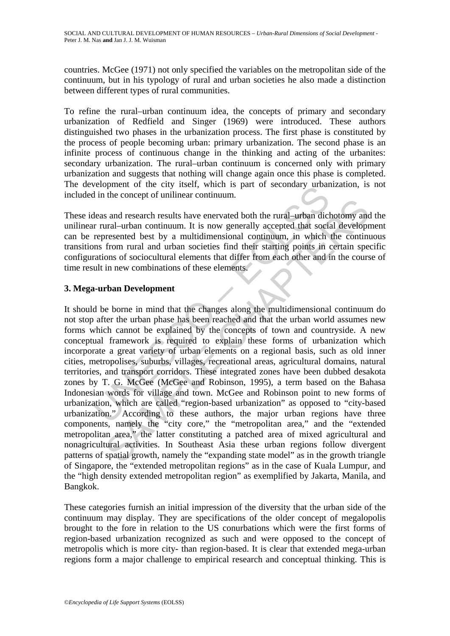countries. McGee (1971) not only specified the variables on the metropolitan side of the continuum, but in his typology of rural and urban societies he also made a distinction between different types of rural communities.

To refine the rural–urban continuum idea, the concepts of primary and secondary urbanization of Redfield and Singer (1969) were introduced. These authors distinguished two phases in the urbanization process. The first phase is constituted by the process of people becoming urban: primary urbanization. The second phase is an infinite process of continuous change in the thinking and acting of the urbanites: secondary urbanization. The rural–urban continuum is concerned only with primary urbanization and suggests that nothing will change again once this phase is completed. The development of the city itself, which is part of secondary urbanization, is not included in the concept of unilinear continuum.

These ideas and research results have enervated both the rural–urban dichotomy and the unilinear rural–urban continuum. It is now generally accepted that social development can be represented best by a multidimensional continuum, in which the continuous transitions from rural and urban societies find their starting points in certain specific configurations of sociocultural elements that differ from each other and in the course of time result in new combinations of these elements.

# **3. Mega-urban Development**

betopment of the city issen, which is part of secondary under<br>
dia in the concept of unilinear continuum.<br>
deas and research results have enervated both the rural-urban dict<br>
r rural-urban continuum. It is now generally ac The caustive murding and research results have enerved both the rural-urban dichotomy and<br>near-urban continuum. It is now generally accepted that social development<br>energented best by a multidimensional continuum, in which It should be borne in mind that the changes along the multidimensional continuum do not stop after the urban phase has been reached and that the urban world assumes new forms which cannot be explained by the concepts of town and countryside. A new conceptual framework is required to explain these forms of urbanization which incorporate a great variety of urban elements on a regional basis, such as old inner cities, metropolises, suburbs, villages, recreational areas, agricultural domains, natural territories, and transport corridors. These integrated zones have been dubbed desakota zones by T. G. McGee (McGee and Robinson, 1995), a term based on the Bahasa Indonesian words for village and town. McGee and Robinson point to new forms of urbanization, which are called "region-based urbanization" as opposed to "city-based urbanization." According to these authors, the major urban regions have three components, namely the "city core," the "metropolitan area," and the "extended metropolitan area," the latter constituting a patched area of mixed agricultural and nonagricultural activities. In Southeast Asia these urban regions follow divergent patterns of spatial growth, namely the "expanding state model" as in the growth triangle of Singapore, the "extended metropolitan regions" as in the case of Kuala Lumpur, and the "high density extended metropolitan region" as exemplified by Jakarta, Manila, and Bangkok.

These categories furnish an initial impression of the diversity that the urban side of the continuum may display. They are specifications of the older concept of megalopolis brought to the fore in relation to the US conurbations which were the first forms of region-based urbanization recognized as such and were opposed to the concept of metropolis which is more city- than region-based. It is clear that extended mega-urban regions form a major challenge to empirical research and conceptual thinking. This is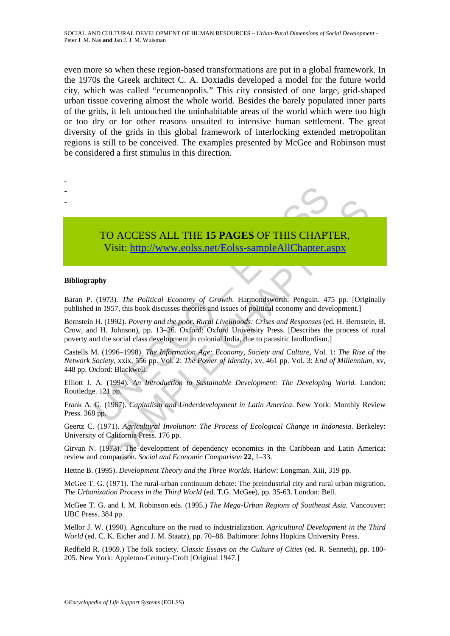even more so when these region-based transformations are put in a global framework. In the 1970s the Greek architect C. A. Doxiadis developed a model for the future world city, which was called "ecumenopolis." This city consisted of one large, grid-shaped urban tissue covering almost the whole world. Besides the barely populated inner parts of the grids, it left untouched the uninhabitable areas of the world which were too high or too dry or for other reasons unsuited to intensive human settlement. The great diversity of the grids in this global framework of interlocking extended metropolitan regions is still to be conceived. The examples presented by McGee and Robinson must be considered a first stimulus in this direction.

- -
- -
- 
- TO ACCESS ALL THE **15 PAGES** OF THIS CHAPTER, Visit: http://www.eolss.net/Eolss-sampleAllChapter.aspx

#### **Bibliography**

Baran P. (1973). *The Political Economy of Growth*. Harmondsworth: Penguin. 475 pp. [Originally published in 1957, this book discusses theories and issues of political economy and development.]

TO ACCESS ALL THE 15 PAGES OF THIS CHAP<br>
Visit: http://www.eolss.net/Eolss-sampleAllChapter.a<br>
apply<br>
1973). The Political Economy of Growth. Harmondsworth: Penguin. 47<br>
in 1957, this book discusses theories and issues of CO ACCESS ALL THE 15 PAGES OF THIS CHAPTER,<br>
Visit:  $\frac{http://www.colss.net/Eolss-sample/AlChapter, aspx}{http://www.colss.net/Eolss-sample/AlChapter, aspx}$ <br>
1973). The Political Economy of Growth. Harmondsworth: Penguin. 475 pp. [Orig11)<br>
1957, this book discusses theories and Bernstein H. (1992). *Poverty and the poor*. *Rural Livelihoods: Crises and Responses* (ed. H. Bernstein, B. Crow, and H. Johnson), pp. 13–26. Oxford: Oxford University Press. [Describes the process of rural poverty and the social class development in colonial India, due to parasitic landlordism.]

Castells M. (1996–1998). *The Information Age: Economy, Society and Culture*, Vol. 1: *The Rise of the Network Society,* xxix, 556 pp. Vol. 2: *The Power of Identity,* xv, 461 pp. Vol. 3: *End of Millennium,* xv, 448 pp. Oxford: Blackwell.

Elliott J. A. (1994). *An Introduction to Sustainable Development: The Developing World.* London: Routledge. 121 pp.

Frank A. G. (1967). *Capitalism and Underdevelopment in Latin America*. New York: Monthly Review Press. 368 pp.

Geertz C. (1971). *Agricultural Involution: The Process of Ecological Change in Indonesia*. Berkeley: University of California Press. 176 pp.

Girvan N. (1973). The development of dependency economics in the Caribbean and Latin America: review and comparison. *Social and Economic Comparison* **22**, 1–33.

Hettne B. (1995). *Development Theory and the Three Worlds*. Harlow: Longman. Xiii, 319 pp.

McGee T. G. (1971). The rural-urban continuum debate: The preindustrial city and rural urban migration. *The Urbanization Process in the Third World* (ed. T.G. McGee), pp. 35-63. London: Bell.

McGee T. G. and I. M. Robinson eds. (1995.) *The Mega-Urban Regions of Southeast Asia.* Vancouver: UBC Press. 384 pp.

Mellor J. W. (1990). Agriculture on the road to industrialization. *Agricultural Development in the Third World* (ed. C. K. Eicher and J. M. Staatz), pp. 70–88. Baltimore: Johns Hopkins University Press.

Redfield R. (1969.) The folk society. *Classic Essays on the Culture of Cities* (ed. R. Senneth), pp. 180- 205. New York: Appleton-Century-Croft [Original 1947.]